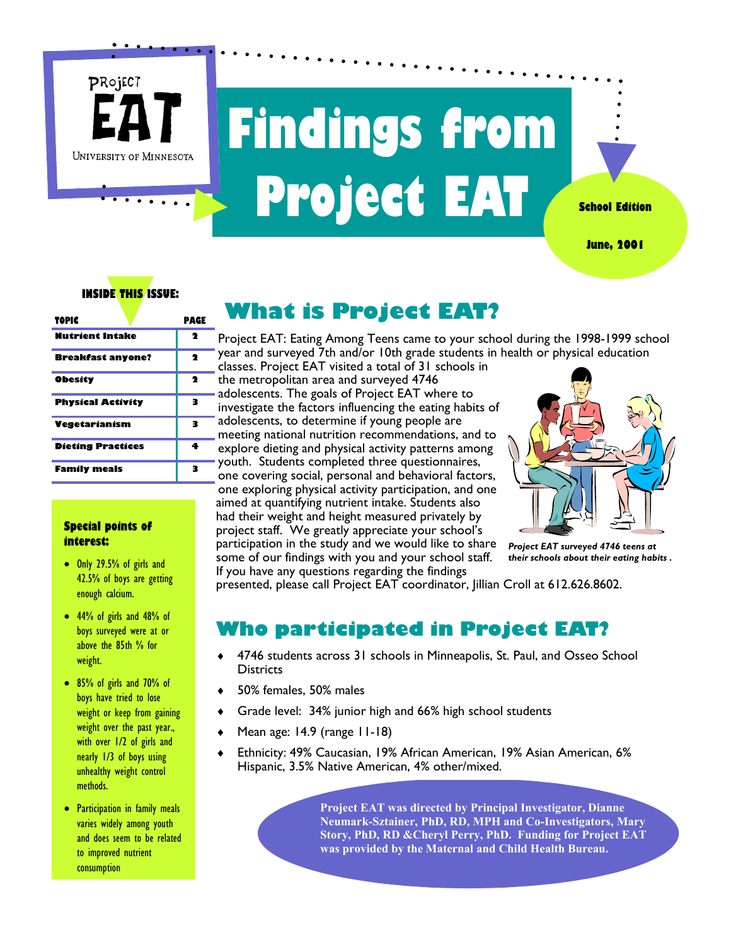UNIVERSITY OF MINNESOTA

PROJECT

# **Findings from Project EAT**



**June, 2001** 

## **INSIDE THIS ISSUE:**

| <b>TOPIC</b>             | PAGE |
|--------------------------|------|
| Nutrient Intake          | 2    |
| Breakfast anyone?        | 2    |
| <b>Obesity</b>           | 2    |
| <b>Physical Activity</b> | 3    |
| Vegetarianism            | 3    |
| <b>Dieting Practices</b> | 4    |
| <b>Family meals</b>      | з    |

#### **Special points of interest:**

- Only 29.5% of girls and 42.5% of boys are getting enough calcium.
- 44% of girls and 48% of boys surveyed were at or above the 85th % for weight.
- 85% of girls and 70% of boys have tried to lose weight or keep from gaining weight over the past year., with over 1/2 of girls and nearly 1/3 of boys using unhealthy weight control methods.
- Participation in family meals varies widely among youth and does seem to be related to improved nutrient consumption

# **What is Project EAT?**

Project EAT: Eating Among Teens came to your school during the 1998-1999 school year and surveyed 7th and/or 10th grade students in health or physical education

classes. Project EAT visited a total of 31 schools in the metropolitan area and surveyed 4746 adolescents. The goals of Project EAT where to investigate the factors influencing the eating habits of adolescents, to determine if young people are meeting national nutrition recommendations, and to explore dieting and physical activity patterns among youth. Students completed three questionnaires, one covering social, personal and behavioral factors, one exploring physical activity participation, and one aimed at quantifying nutrient intake. Students also had their weight and height measured privately by project staff. We greatly appreciate your school's participation in the study and we would like to share some of our findings with you and your school staff.



*Project EAT surveyed 4746 teens at their schools about their eating habits .* 

If you have any questions regarding the findings presented, please call Project EAT coordinator, Jillian Croll at 612.626.8602.

## **Who participated in Project EAT?**

- 4746 students across 31 schools in Minneapolis, St. Paul, and Osseo School **Districts**
- 50% females, 50% males
- Grade level: 34% junior high and 66% high school students
- Mean age: 14.9 (range 11-18)
- Ethnicity: 49% Caucasian, 19% African American, 19% Asian American, 6% Hispanic, 3.5% Native American, 4% other/mixed.

**Project EAT was directed by Principal Investigator, Dianne Neumark-Sztainer, PhD, RD, MPH and Co-Investigators, Mary Story, PhD, RD &Cheryl Perry, PhD. Funding for Project EAT was provided by the Maternal and Child Health Bureau.**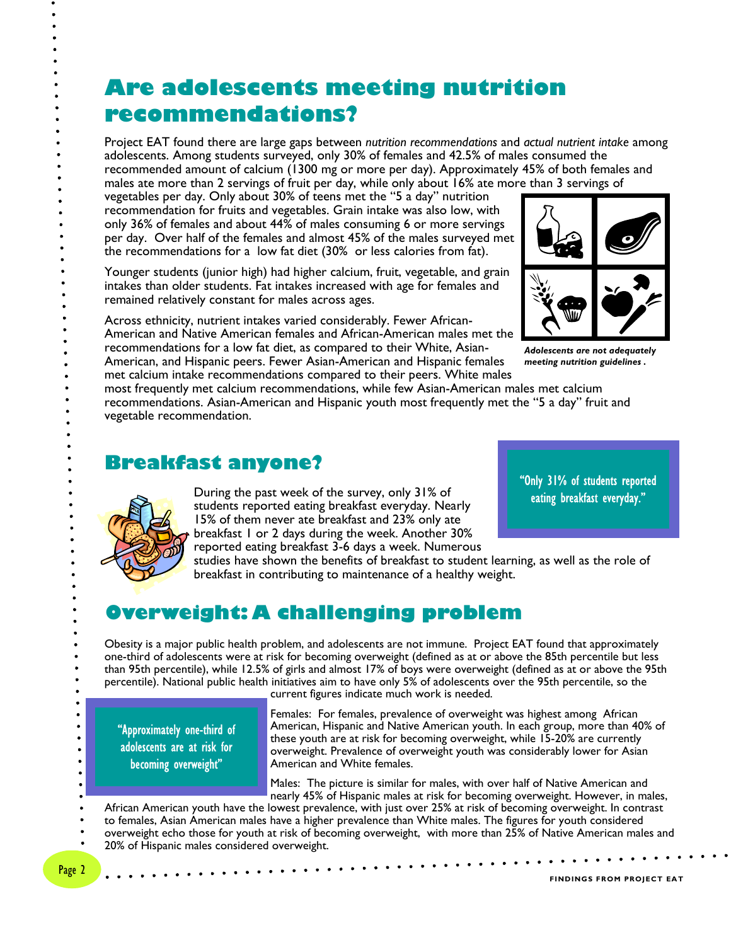# **Are adolescents meeting nutrition recommendations?**

Project EAT found there are large gaps between *nutrition recommendations* and *actual nutrient intake* among adolescents. Among students surveyed, only 30% of females and 42.5% of males consumed the recommended amount of calcium (1300 mg or more per day). Approximately 45% of both females and males ate more than 2 servings of fruit per day, while only about 16% ate more than 3 servings of

vegetables per day. Only about 30% of teens met the "5 a day" nutrition recommendation for fruits and vegetables. Grain intake was also low, with only 36% of females and about 44% of males consuming 6 or more servings per day. Over half of the females and almost 45% of the males surveyed met the recommendations for a low fat diet (30% or less calories from fat).

Younger students (junior high) had higher calcium, fruit, vegetable, and grain intakes than older students. Fat intakes increased with age for females and remained relatively constant for males across ages.

Across ethnicity, nutrient intakes varied considerably. Fewer African-American and Native American females and African-American males met the

recommendations for a low fat diet, as compared to their White, Asian-

American, and Hispanic peers. Fewer Asian-American and Hispanic females



*Adolescents are not adequately meeting nutrition guidelines .* 

met calcium intake recommendations compared to their peers. White males most frequently met calcium recommendations, while few Asian-American males met calcium

**Breakfast anyone?** 



vegetable recommendation.

During the past week of the survey, only 31% of students reported eating breakfast everyday. Nearly 15% of them never ate breakfast and 23% only ate breakfast 1 or 2 days during the week. Another 30% reported eating breakfast 3-6 days a week. Numerous

recommendations. Asian-American and Hispanic youth most frequently met the "5 a day" fruit and

"Only 31% of students reported eating breakfast everyday."

studies have shown the benefits of breakfast to student learning, as well as the role of breakfast in contributing to maintenance of a healthy weight.

## **Overweight: A challenging problem**

Obesity is a major public health problem, and adolescents are not immune. Project EAT found that approximately one-third of adolescents were at risk for becoming overweight (defined as at or above the 85th percentile but less than 95th percentile), while 12.5% of girls and almost 17% of boys were overweight (defined as at or above the 95th percentile). National public health initiatives aim to have only 5% of adolescents over the 95th percentile, so the

"Approximately one-third of adolescents are at risk for becoming overweight"

current figures indicate much work is needed.

Females: For females, prevalence of overweight was highest among African American, Hispanic and Native American youth. In each group, more than 40% of these youth are at risk for becoming overweight, while 15-20% are currently overweight. Prevalence of overweight youth was considerably lower for Asian American and White females.

Males: The picture is similar for males, with over half of Native American and nearly 45% of Hispanic males at risk for becoming overweight. However, in males,

- African American youth have the lowest prevalence, with just over 25% at risk of becoming overweight. In contrast
- to females, Asian American males have a higher prevalence than White males. The figures for youth considered
- overweight echo those for youth at risk of becoming overweight, with more than 25% of Native American males and

 $\bullet$  $\bullet$  $\bullet$  $\bullet$  $\bullet$  $\bullet$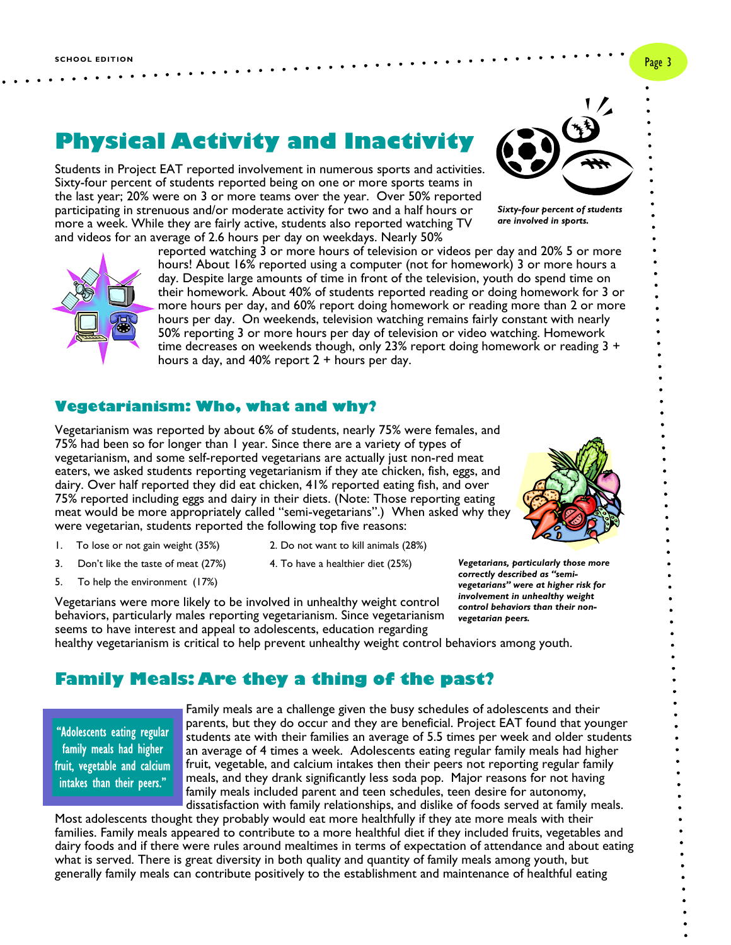# **Physical Activity and Inactivity**

Students in Project EAT reported involvement in numerous sports and activities. Sixty-four percent of students reported being on one or more sports teams in the last year; 20% were on 3 or more teams over the year. Over 50% reported participating in strenuous and/or moderate activity for two and a half hours or more a week. While they are fairly active, students also reported watching TV and videos for an average of 2.6 hours per day on weekdays. Nearly 50%



### **Vegetarianism: Who, what and why?**

Vegetarianism was reported by about 6% of students, nearly 75% were females, and 75% had been so for longer than 1 year. Since there are a variety of types of vegetarianism, and some self-reported vegetarians are actually just non-red meat eaters, we asked students reporting vegetarianism if they ate chicken, fish, eggs, and dairy. Over half reported they did eat chicken, 41% reported eating fish, and over 75% reported including eggs and dairy in their diets. (Note: Those reporting eating meat would be more appropriately called "semi-vegetarians".) When asked why they were vegetarian, students reported the following top five reasons:

- 1. To lose or not gain weight (35%) 2. Do not want to kill animals (28%)
	-
- 3. Don't like the taste of meat (27%) 4. To have a healthier diet (25%)
- 
- 5. To help the environment (17%)

Vegetarians were more likely to be involved in unhealthy weight control behaviors, particularly males reporting vegetarianism. Since vegetarianism seems to have interest and appeal to adolescents, education regarding

*Vegetarians, particularly those more correctly described as "semivegetarians" were at higher risk for involvement in unhealthy weight control behaviors than their nonvegetarian peers.* 

healthy vegetarianism is critical to help prevent unhealthy weight control behaviors among youth.

## **Family Meals: Are they a thing of the past?**

"Adolescents eating regular family meals had higher fruit, vegetable and calcium intakes than their peers."

Family meals are a challenge given the busy schedules of adolescents and their parents, but they do occur and they are beneficial. Project EAT found that younger students ate with their families an average of 5.5 times per week and older students an average of 4 times a week. Adolescents eating regular family meals had higher fruit, vegetable, and calcium intakes then their peers not reporting regular family meals, and they drank significantly less soda pop. Major reasons for not having family meals included parent and teen schedules, teen desire for autonomy, dissatisfaction with family relationships, and dislike of foods served at family meals.

Most adolescents thought they probably would eat more healthfully if they ate more meals with their families. Family meals appeared to contribute to a more healthful diet if they included fruits, vegetables and dairy foods and if there were rules around mealtimes in terms of expectation of attendance and about eating what is served. There is great diversity in both quality and quantity of family meals among youth, but generally family meals can contribute positively to the establishment and maintenance of healthful eating





*Sixty-four percent of students are involved in sports.*